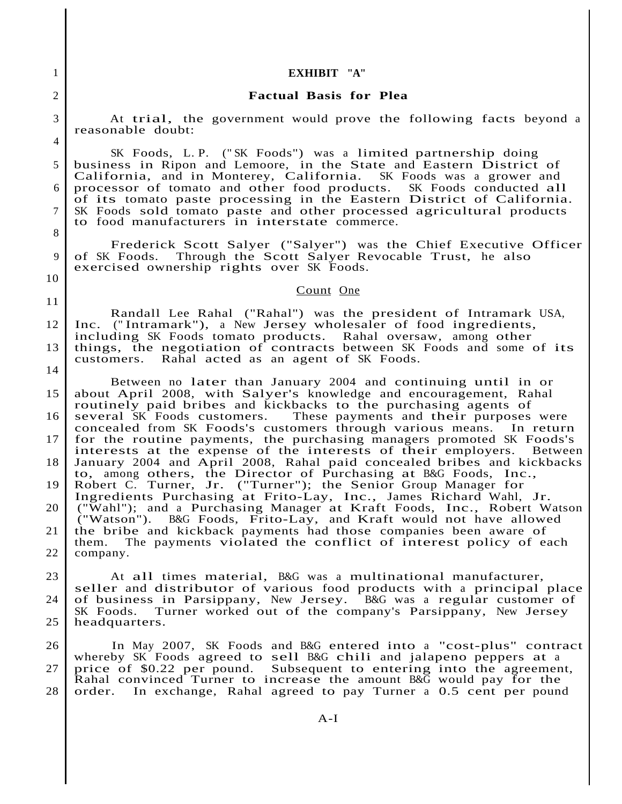## 1 **EXHIBIT "A"**

## 2 **Factual Basis for Plea**

3 At trial, the government would prove the following facts beyond a reasonable doubt: 4

SK Foods, L. P. (" SK Foods") was <sup>a</sup> limited partnership doing 5 business in Ripon and Lemoore, in the State and Eastern District of California, and in Monterey, California. SK Foods was <sup>a</sup> grower and <sup>6</sup> processor of tomato and other food products. SK Foods conducted all of its tomato paste processing in the Eastern District of California. <sup>7</sup> SK Foods sold tomato paste and other processed agricultural products to food manufacturers in interstate commerce. 8

Frederick Scott Salyer ("Salyer") was the Chief Executive Officer <sup>9</sup> of SK Foods. Through the Scott Salyer Revocable Trust, he also exercised ownership rights over SK Foods.

## Count One

Randall Lee Rahal ("Rahal") was the president of Intramark USA, 12 Inc. (" Intramark"), a New Jersey wholesaler of food ingredients, including SK Foods tomato products. Rahal oversaw, among other 13 things, the negotiation of contracts between SK Foods and some of its customers. Rahal acted as an agent of SK Foods. 14

10

11

Between no later than January <sup>2004</sup> and continuing until in or 15 about April 2008, with Salyer's knowledge and encouragement, Rahal routinely paid bribes and kickbacks to the purchasing agents of 16 several SK Foods customers. These payments and their purposes were concealed from SK Foods's customers through various means. In return 17 for the routine payments, the purchasing managers promoted SK Foods's interests at the expense of the interests of their employers. Between 18 January 2004 and April 2008, Rahal paid concealed bribes and kickbacks to, among others, the Director of Purchasing at B&G Foods, Inc., 19 Robert C. Turner, Jr. ("Turner"); the Senior Group Manager for Ingredients Purchasing at Frito-Lay, Inc., James Richard Wahl, Jr. 20 ("Wahl"); and a Purchasing Manager at Kraft Foods, Inc., Robert Watson ("Watson"). B&G Foods, Frito-Lay, and Kraft would not have allowed 21 the bribe and kickback payments had those companies been aware of them. The payments violated the conflict of interest policy of each 22 | company.

<sup>23</sup> At all times material, B&G was <sup>a</sup> multinational manufacturer, seller and distributor of various food products with <sup>a</sup> principal place 24 of business in Parsippany, New Jersey. B&G was a regular customer of SK Foods. Turner worked out of the company's Parsippany, New Jersey Turner worked out of the company's Parsippany, New Jersey 25 headquarters.

26 In May 2007, SK Foods and B&G entered into <sup>a</sup> "cost-plus" contract whereby SK Foods agreed to sell B&G chili and jalapeno peppers at <sup>a</sup> 27 price of \$0.22 per pound. Subsequent to entering into the agreement, Rahal convinced Turner to increase the amount B&G would pay for the 28 order. In exchange, Rahal agreed to pay Turner a 0.5 cent per pound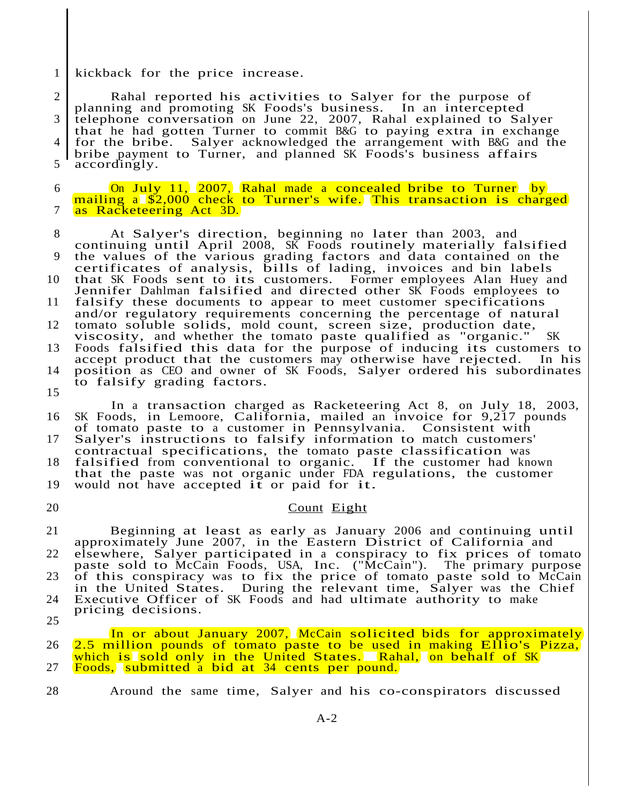1 kickback for the price increase.

2 Rahal reported his activities to Salyer for the purpose of planning and promoting SK Foods's business. In an intercepted 3 telephone conversation on June 22, 2007, Rahal explained to Salyer that he had gotten Turner to commit B&G to paying extra in exchange for the bribe. Salver acknowledged the arrangement with B&G and the 4 for the bribe. Salyer acknowledged the arrangement with B&G and the bribe payment to Turner, and planned SK Foods's business affairs 5 accordingly. 6 **On July 11, 2007, Rahal made a concealed bribe to Turner** by mailing a \$2,000 check to Turner's wife. This transaction is charged 7 as Racketeering Act 3D. <sup>8</sup> At Salyer's direction, beginning no later than 2003, and continuing until April 2008, SK Foods routinely materially falsified 9 the values of the various grading factors and data contained on the certificates of analysis, bills of lading, invoices and bin labels <sup>10</sup> that SK Foods sent to its customers. Former employees Alan Huey and Jennifer Dahlman falsified and directed other SK Foods employees to <sup>11</sup> falsify these documents to appear to meet customer specifications and/or regulatory requirements concerning the percentage of natural 12 tomato soluble solids, mold count, screen size, production date, viscosity, and whether the tomato paste qualified as "organic." SK <sup>13</sup> Foods falsified this data for the purpose of inducing its customers to accept product that the customers may otherwise have rejected. In his 14 position as CEO and owner of SK Foods, Salyer ordered his subordinates to falsify grading factors. 15 In a transaction charged as Racketeering Act 8, on July 18, 2003, 16 SK Foods, in Lemoore, California, mailed an invoice for 9,217 pounds of tomato paste to a customer in Pennsylvania. Consistent with 17 Salyer's instructions to falsify information to match customers' Baryor's instructions to raisity information to mater easteshers <sup>18</sup> falsified from conventional to organic. If the customer had known that the paste was not organic under FDA regulations, the customer <sup>19</sup> would not have accepted it or paid for it. 20 Count Eight <sup>21</sup> Beginning at least as early as January 2006 and continuing until approximately June 2007, in the Eastern District of California and 22 elsewhere, Salyer participated in a conspiracy to fix prices of tomato paste sold to McCain Foods, USA, Inc. ("McCain"). The primary purpose 23 of this conspiracy was to fix the price of tomato paste sold to McCain In the United States. During the relevant time, Salyer was the Chief 24 Executive Officer of SK Foods and had ultimate authority to make pricing decisions. 25 In or about January 2007, McCain solicited bids for approximately <sup>26</sup> 2.5 million pounds of tomato paste to be used in making Ellio's Pizza, which is sold only in the United States. Rahal, on behalf of SK 27 Foods, submitted a bid at 34 cents per pound. 28 Around the same time, Salyer and his co-conspirators discussed